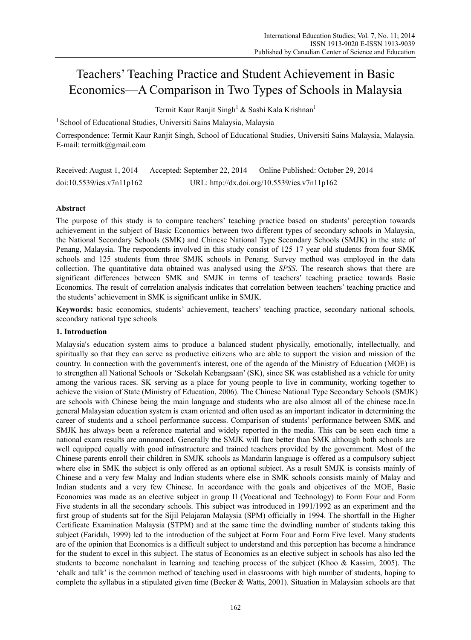# Teachers' Teaching Practice and Student Achievement in Basic Economics—A Comparison in Two Types of Schools in Malaysia

Termit Kaur Ranjit Singh<sup>1</sup> & Sashi Kala Krishnan<sup>1</sup>

<sup>1</sup> School of Educational Studies, Universiti Sains Malaysia, Malaysia

Correspondence: Termit Kaur Ranjit Singh, School of Educational Studies, Universiti Sains Malaysia, Malaysia. E-mail: termitk@gmail.com

Received: August 1, 2014 Accepted: September 22, 2014 Online Published: October 29, 2014 doi:10.5539/ies.v7n11p162 URL: http://dx.doi.org/10.5539/ies.v7n11p162

# **Abstract**

The purpose of this study is to compare teachers' teaching practice based on students' perception towards achievement in the subject of Basic Economics between two different types of secondary schools in Malaysia, the National Secondary Schools (SMK) and Chinese National Type Secondary Schools (SMJK) in the state of Penang, Malaysia. The respondents involved in this study consist of 125 17 year old students from four SMK schools and 125 students from three SMJK schools in Penang. Survey method was employed in the data collection. The quantitative data obtained was analysed using the *SPSS*. The research shows that there are significant differences between SMK and SMJK in terms of teachers' teaching practice towards Basic Economics. The result of correlation analysis indicates that correlation between teachers' teaching practice and the students' achievement in SMK is significant unlike in SMJK.

**Keywords:** basic economics, students' achievement, teachers' teaching practice, secondary national schools, secondary national type schools

#### **1. Introduction**

Malaysia's education system aims to produce a balanced student physically, emotionally, intellectually, and spiritually so that they can serve as productive citizens who are able to support the vision and mission of the country. In connection with the government's interest, one of the agenda of the Ministry of Education (MOE) is to strengthen all National Schools or 'Sekolah Kebangsaan' (SK), since SK was established as a vehicle for unity among the various races. SK serving as a place for young people to live in community, working together to achieve the vision of State (Ministry of Education, 2006). The Chinese National Type Secondary Schools (SMJK) are schools with Chinese being the main language and students who are also almost all of the chinese race.In general Malaysian education system is exam oriented and often used as an important indicator in determining the career of students and a school performance success. Comparison of students' performance between SMK and SMJK has always been a reference material and widely reported in the media. This can be seen each time a national exam results are announced. Generally the SMJK will fare better than SMK although both schools are well equipped equally with good infrastructure and trained teachers provided by the government. Most of the Chinese parents enroll their children in SMJK schools as Mandarin language is offered as a compulsory subject where else in SMK the subject is only offered as an optional subject. As a result SMJK is consists mainly of Chinese and a very few Malay and Indian students where else in SMK schools consists mainly of Malay and Indian students and a very few Chinese. In accordance with the goals and objectives of the MOE, Basic Economics was made as an elective subject in group II (Vocational and Technology) to Form Four and Form Five students in all the secondary schools. This subject was introduced in 1991/1992 as an experiment and the first group of students sat for the Sijil Pelajaran Malaysia (SPM) officially in 1994. The shortfall in the Higher Certificate Examination Malaysia (STPM) and at the same time the dwindling number of students taking this subject (Faridah, 1999) led to the introduction of the subject at Form Four and Form Five level. Many students are of the opinion that Economics is a difficult subject to understand and this perception has become a hindrance for the student to excel in this subject. The status of Economics as an elective subject in schools has also led the students to become nonchalant in learning and teaching process of the subject (Khoo & Kassim, 2005). The 'chalk and talk' is the common method of teaching used in classrooms with high number of students, hoping to complete the syllabus in a stipulated given time (Becker & Watts, 2001). Situation in Malaysian schools are that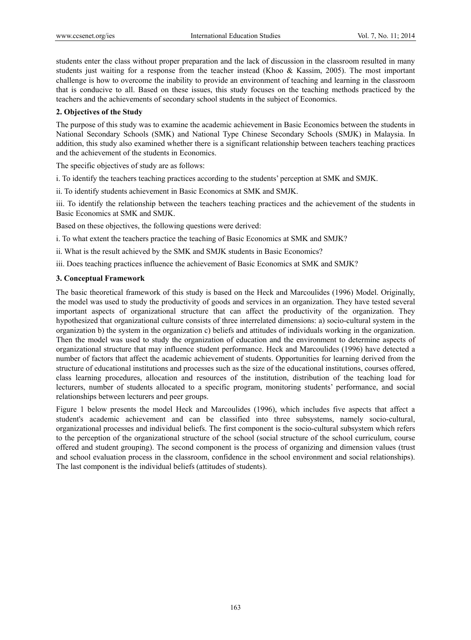students enter the class without proper preparation and the lack of discussion in the classroom resulted in many students just waiting for a response from the teacher instead (Khoo & Kassim, 2005). The most important challenge is how to overcome the inability to provide an environment of teaching and learning in the classroom that is conducive to all. Based on these issues, this study focuses on the teaching methods practiced by the teachers and the achievements of secondary school students in the subject of Economics.

### **2. Objectives of the Study**

The purpose of this study was to examine the academic achievement in Basic Economics between the students in National Secondary Schools (SMK) and National Type Chinese Secondary Schools (SMJK) in Malaysia. In addition, this study also examined whether there is a significant relationship between teachers teaching practices and the achievement of the students in Economics.

The specific objectives of study are as follows:

i. To identify the teachers teaching practices according to the students' perception at SMK and SMJK.

ii. To identify students achievement in Basic Economics at SMK and SMJK.

iii. To identify the relationship between the teachers teaching practices and the achievement of the students in Basic Economics at SMK and SMJK.

Based on these objectives, the following questions were derived:

i. To what extent the teachers practice the teaching of Basic Economics at SMK and SMJK?

ii. What is the result achieved by the SMK and SMJK students in Basic Economics?

iii. Does teaching practices influence the achievement of Basic Economics at SMK and SMJK?

## **3. Conceptual Framework**

The basic theoretical framework of this study is based on the Heck and Marcoulides (1996) Model. Originally, the model was used to study the productivity of goods and services in an organization. They have tested several important aspects of organizational structure that can affect the productivity of the organization. They hypothesized that organizational culture consists of three interrelated dimensions: a) socio-cultural system in the organization b) the system in the organization c) beliefs and attitudes of individuals working in the organization. Then the model was used to study the organization of education and the environment to determine aspects of organizational structure that may influence student performance. Heck and Marcoulides (1996) have detected a number of factors that affect the academic achievement of students. Opportunities for learning derived from the structure of educational institutions and processes such as the size of the educational institutions, courses offered, class learning procedures, allocation and resources of the institution, distribution of the teaching load for lecturers, number of students allocated to a specific program, monitoring students' performance, and social relationships between lecturers and peer groups.

Figure 1 below presents the model Heck and Marcoulides (1996), which includes five aspects that affect a student's academic achievement and can be classified into three subsystems, namely socio-cultural, organizational processes and individual beliefs. The first component is the socio-cultural subsystem which refers to the perception of the organizational structure of the school (social structure of the school curriculum, course offered and student grouping). The second component is the process of organizing and dimension values (trust and school evaluation process in the classroom, confidence in the school environment and social relationships). The last component is the individual beliefs (attitudes of students).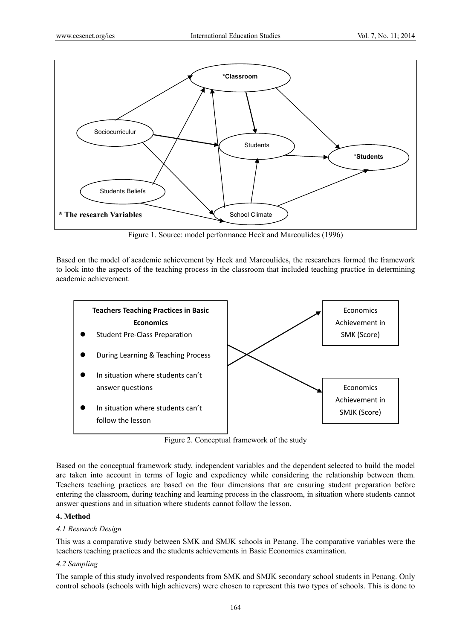

Figure 1. Source: model performance Heck and Marcoulides (1996)

Based on the model of academic achievement by Heck and Marcoulides, the researchers formed the framework to look into the aspects of the teaching process in the classroom that included teaching practice in determining academic achievement.



Figure 2. Conceptual framework of the study

Based on the conceptual framework study, independent variables and the dependent selected to build the model are taken into account in terms of logic and expediency while considering the relationship between them. Teachers teaching practices are based on the four dimensions that are ensuring student preparation before entering the classroom, during teaching and learning process in the classroom, in situation where students cannot answer questions and in situation where students cannot follow the lesson.

# **4. Method**

# *4.1 Research Design*

This was a comparative study between SMK and SMJK schools in Penang. The comparative variables were the teachers teaching practices and the students achievements in Basic Economics examination.

# *4.2 Sampling*

The sample of this study involved respondents from SMK and SMJK secondary school students in Penang. Only control schools (schools with high achievers) were chosen to represent this two types of schools. This is done to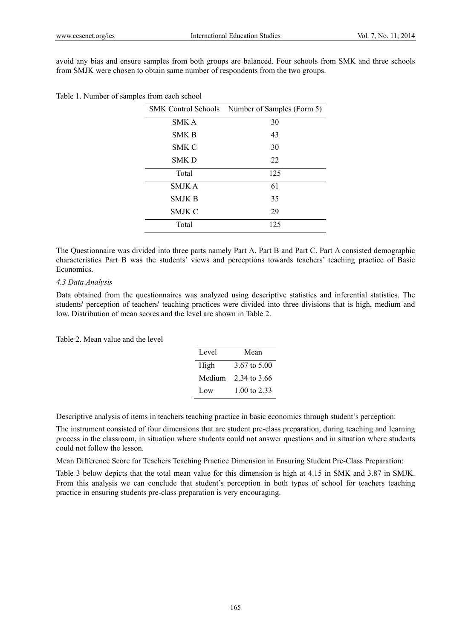$\overline{\phantom{a}}$ 

avoid any bias and ensure samples from both groups are balanced. Four schools from SMK and three schools from SMJK were chosen to obtain same number of respondents from the two groups.

|               | SMK Control Schools Number of Samples (Form 5) |
|---------------|------------------------------------------------|
| <b>SMKA</b>   | 30                                             |
| <b>SMK B</b>  | 43                                             |
| SMK C         | 30                                             |
| SMK D         | 22                                             |
| Total         | 125                                            |
| <b>SMJKA</b>  | 61                                             |
| <b>SMJK B</b> | 35                                             |
| SMJK C        | 29                                             |
| Total         | 125                                            |
|               |                                                |

Table 1. Number of samples from each school

The Questionnaire was divided into three parts namely Part A, Part B and Part C. Part A consisted demographic characteristics Part B was the students' views and perceptions towards teachers' teaching practice of Basic Economics.

### *4.3 Data Analysis*

Data obtained from the questionnaires was analyzed using descriptive statistics and inferential statistics. The students' perception of teachers' teaching practices were divided into three divisions that is high, medium and low. Distribution of mean scores and the level are shown in Table 2.

Table 2. Mean value and the level

| Level  | Mean         |  |  |  |  |
|--------|--------------|--|--|--|--|
| High   | 3.67 to 5.00 |  |  |  |  |
| Medium | 2.34 to 3.66 |  |  |  |  |
| Low    | 1.00 to 2.33 |  |  |  |  |

Descriptive analysis of items in teachers teaching practice in basic economics through student's perception:

The instrument consisted of four dimensions that are student pre-class preparation, during teaching and learning process in the classroom, in situation where students could not answer questions and in situation where students could not follow the lesson.

Mean Difference Score for Teachers Teaching Practice Dimension in Ensuring Student Pre-Class Preparation:

Table 3 below depicts that the total mean value for this dimension is high at 4.15 in SMK and 3.87 in SMJK. From this analysis we can conclude that student's perception in both types of school for teachers teaching practice in ensuring students pre-class preparation is very encouraging.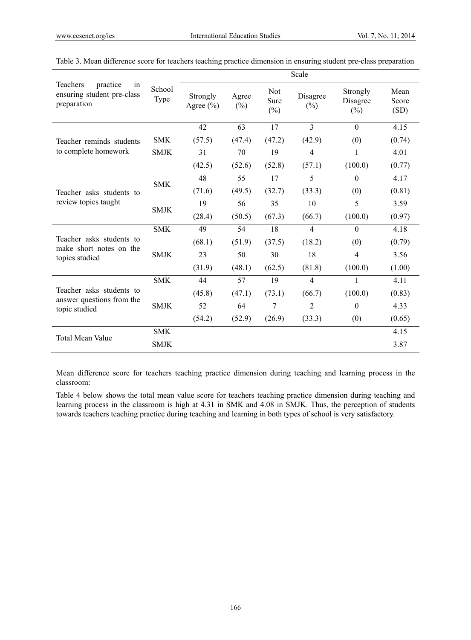|                                                                                | School<br>Type |                           |                 |                              | Scale              |                                |                       |
|--------------------------------------------------------------------------------|----------------|---------------------------|-----------------|------------------------------|--------------------|--------------------------------|-----------------------|
| <b>Teachers</b><br>practice<br>in<br>ensuring student pre-class<br>preparation |                | Strongly<br>Agree $(\% )$ | Agree<br>$(\%)$ | <b>Not</b><br>Sure<br>$(\%)$ | Disagree<br>$(\%)$ | Strongly<br>Disagree<br>$(\%)$ | Mean<br>Score<br>(SD) |
|                                                                                |                | 42                        | 63              | 17                           | 3                  | $\Omega$                       | 4.15                  |
| Teacher reminds students                                                       | <b>SMK</b>     | (57.5)                    | (47.4)          | (47.2)                       | (42.9)             | (0)                            | (0.74)                |
| to complete homework                                                           | <b>SMJK</b>    | 31                        | 70              | 19                           | $\overline{4}$     | 1                              | 4.01                  |
|                                                                                |                | (42.5)                    | (52.6)          | (52.8)                       | (57.1)             | (100.0)                        | (0.77)                |
|                                                                                | <b>SMK</b>     | 48                        | 55              | 17                           | 5                  | $\theta$                       | 4.17                  |
| Teacher asks students to<br>review topics taught                               |                | (71.6)                    | (49.5)          | (32.7)                       | (33.3)             | (0)                            | (0.81)                |
|                                                                                | <b>SMJK</b>    | 19                        | 56              | 35                           | 10                 | 5                              | 3.59                  |
|                                                                                |                | (28.4)                    | (50.5)          | (67.3)                       | (66.7)             | (100.0)                        | (0.97)                |
|                                                                                | <b>SMK</b>     | 49                        | 54              | 18                           | $\overline{4}$     | $\Omega$                       | 4.18                  |
| Teacher asks students to<br>make short notes on the                            |                | (68.1)                    | (51.9)          | (37.5)                       | (18.2)             | (0)                            | (0.79)                |
| topics studied                                                                 | <b>SMJK</b>    | 23                        | 50              | 30                           | 18                 | 4                              | 3.56                  |
|                                                                                |                | (31.9)                    | (48.1)          | (62.5)                       | (81.8)             | (100.0)                        | (1.00)                |
|                                                                                | <b>SMK</b>     | 44                        | 57              | 19                           | $\overline{4}$     | 1                              | 4.11                  |
| Teacher asks students to                                                       |                | (45.8)                    | (47.1)          | (73.1)                       | (66.7)             | (100.0)                        | (0.83)                |
| answer questions from the<br>topic studied                                     | <b>SMJK</b>    | 52                        | 64              | 7                            | $\overline{2}$     | $\theta$                       | 4.33                  |
|                                                                                |                | (54.2)                    | (52.9)          | (26.9)                       | (33.3)             | (0)                            | (0.65)                |
| <b>Total Mean Value</b>                                                        | <b>SMK</b>     |                           |                 |                              |                    |                                | 4.15                  |
|                                                                                | <b>SMJK</b>    |                           |                 |                              |                    |                                | 3.87                  |

| Table 3. Mean difference score for teachers teaching practice dimension in ensuring student pre-class preparation |  |  |  |
|-------------------------------------------------------------------------------------------------------------------|--|--|--|
|                                                                                                                   |  |  |  |

Mean difference score for teachers teaching practice dimension during teaching and learning process in the classroom:

Table 4 below shows the total mean value score for teachers teaching practice dimension during teaching and learning process in the classroom is high at 4.31 in SMK and 4.08 in SMJK. Thus, the perception of students towards teachers teaching practice during teaching and learning in both types of school is very satisfactory.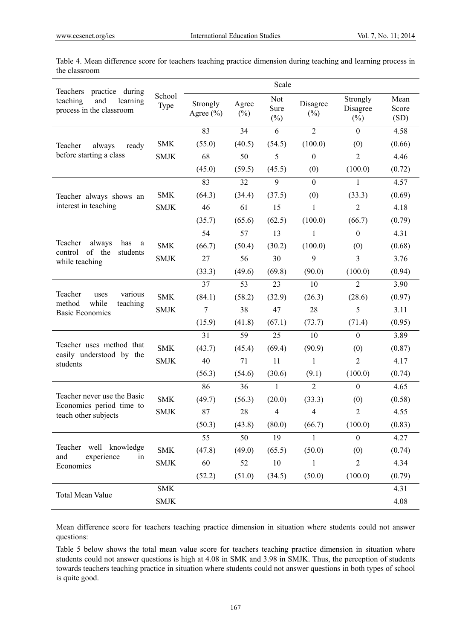| Teachers practice during                                                            |                | Scale                     |                 |                       |                    |                                |                       |  |  |
|-------------------------------------------------------------------------------------|----------------|---------------------------|-----------------|-----------------------|--------------------|--------------------------------|-----------------------|--|--|
| teaching<br>learning<br>and<br>process in the classroom                             | School<br>Type | Strongly<br>Agree $(\% )$ | Agree<br>$(\%)$ | Not<br>Sure<br>$(\%)$ | Disagree<br>$(\%)$ | Strongly<br>Disagree<br>$(\%)$ | Mean<br>Score<br>(SD) |  |  |
|                                                                                     |                | 83                        | 34              | 6                     | $\overline{2}$     | $\boldsymbol{0}$               | 4.58                  |  |  |
| Teacher<br>always<br>ready                                                          | <b>SMK</b>     | (55.0)                    | (40.5)          | (54.5)                | (100.0)            | (0)                            | (0.66)                |  |  |
| before starting a class                                                             | <b>SMJK</b>    | 68                        | 50              | 5                     | $\boldsymbol{0}$   | $\overline{2}$                 | 4.46                  |  |  |
|                                                                                     |                | (45.0)                    | (59.5)          | (45.5)                | (0)                | (100.0)                        | (0.72)                |  |  |
|                                                                                     |                | 83                        | 32              | 9                     | $\mathbf{0}$       | 1                              | 4.57                  |  |  |
| Teacher always shows an                                                             | <b>SMK</b>     | (64.3)                    | (34.4)          | (37.5)                | (0)                | (33.3)                         | (0.69)                |  |  |
| interest in teaching                                                                | <b>SMJK</b>    | 46                        | 61              | 15                    | 1                  | $\overline{2}$                 | 4.18                  |  |  |
|                                                                                     |                | (35.7)                    | (65.6)          | (62.5)                | (100.0)            | (66.7)                         | (0.79)                |  |  |
|                                                                                     |                | 54                        | 57              | 13                    | $\mathbf{1}$       | $\boldsymbol{0}$               | 4.31                  |  |  |
| Teacher<br>always<br>has<br>a<br>of the<br>control<br>students                      | <b>SMK</b>     | (66.7)                    | (50.4)          | (30.2)                | (100.0)            | (0)                            | (0.68)                |  |  |
| while teaching                                                                      | <b>SMJK</b>    | 27                        | 56              | 30                    | 9                  | 3                              | 3.76                  |  |  |
|                                                                                     |                | (33.3)                    | (49.6)          | (69.8)                | (90.0)             | (100.0)                        | (0.94)                |  |  |
|                                                                                     |                | 37                        | 53              | 23                    | 10                 | $\overline{2}$                 | 3.90                  |  |  |
| Teacher<br>various<br>uses<br>method<br>while<br>teaching<br><b>Basic Economics</b> | <b>SMK</b>     | (84.1)                    | (58.2)          | (32.9)                | (26.3)             | (28.6)                         | (0.97)                |  |  |
|                                                                                     | <b>SMJK</b>    | $\overline{7}$            | 38              | 47                    | 28                 | 5                              | 3.11                  |  |  |
|                                                                                     |                | (15.9)                    | (41.8)          | (67.1)                | (73.7)             | (71.4)                         | (0.95)                |  |  |
|                                                                                     |                | 31                        | 59              | 25                    | 10                 | $\boldsymbol{0}$               | 3.89                  |  |  |
| Teacher uses method that                                                            | <b>SMK</b>     | (43.7)                    | (45.4)          | (69.4)                | (90.9)             | (0)                            | (0.87)                |  |  |
| easily understood by the<br>students                                                | <b>SMJK</b>    | 40                        | 71              | 11                    | 1                  | $\overline{2}$                 | 4.17                  |  |  |
|                                                                                     |                | (56.3)                    | (54.6)          | (30.6)                | (9.1)              | (100.0)                        | (0.74)                |  |  |
|                                                                                     |                | 86                        | 36              | 1                     | $\overline{2}$     | $\boldsymbol{0}$               | 4.65                  |  |  |
| Teacher never use the Basic                                                         | <b>SMK</b>     | (49.7)                    | (56.3)          | (20.0)                | (33.3)             | (0)                            | (0.58)                |  |  |
| Economics period time to<br>teach other subjects                                    | <b>SMJK</b>    | 87                        | 28              | 4                     | $\overline{4}$     | $\overline{2}$                 | 4.55                  |  |  |
|                                                                                     |                | (50.3)                    | (43.8)          | (80.0)                | (66.7)             | (100.0)                        | (0.83)                |  |  |
|                                                                                     |                | 55                        | 50              | 19                    | $\mathbf{1}$       | $\boldsymbol{0}$               | 4.27                  |  |  |
| Teacher well knowledge                                                              | <b>SMK</b>     | (47.8)                    | (49.0)          | (65.5)                | (50.0)             | (0)                            | (0.74)                |  |  |
| and<br>experience<br>in<br>Economics                                                | <b>SMJK</b>    | 60                        | 52              | 10                    | 1                  | $\overline{2}$                 | 4.34                  |  |  |
|                                                                                     |                | (52.2)                    | (51.0)          | (34.5)                | (50.0)             | (100.0)                        | (0.79)                |  |  |
| Total Mean Value                                                                    | <b>SMK</b>     |                           |                 |                       |                    |                                | 4.31                  |  |  |
|                                                                                     | <b>SMJK</b>    |                           |                 |                       |                    |                                | 4.08                  |  |  |

Table 4. Mean difference score for teachers teaching practice dimension during teaching and learning process in the classroom

Mean difference score for teachers teaching practice dimension in situation where students could not answer questions:

Table 5 below shows the total mean value score for teachers teaching practice dimension in situation where students could not answer questions is high at 4.08 in SMK and 3.98 in SMJK. Thus, the perception of students towards teachers teaching practice in situation where students could not answer questions in both types of school is quite good.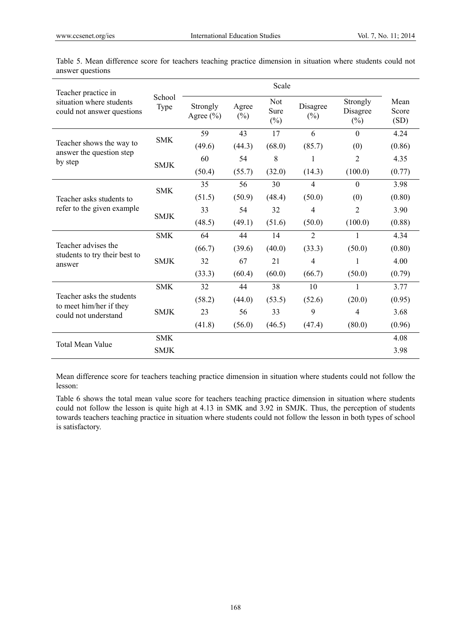| Teacher practice in                                    |                |                           |                 |                              |                    |                                |                       |
|--------------------------------------------------------|----------------|---------------------------|-----------------|------------------------------|--------------------|--------------------------------|-----------------------|
| situation where students<br>could not answer questions | School<br>Type | Strongly<br>Agree $(\% )$ | Agree<br>$(\%)$ | <b>Not</b><br>Sure<br>$(\%)$ | Disagree<br>$(\%)$ | Strongly<br>Disagree<br>$(\%)$ | Mean<br>Score<br>(SD) |
|                                                        | <b>SMK</b>     | 59                        | 43              | 17                           | 6                  | $\theta$                       | 4.24                  |
| Teacher shows the way to<br>answer the question step   |                | (49.6)                    | (44.3)          | (68.0)                       | (85.7)             | (0)                            | (0.86)                |
| by step                                                | <b>SMJK</b>    | 60                        | 54              | 8                            | 1                  | $\overline{2}$                 | 4.35                  |
|                                                        |                | (50.4)                    | (55.7)          | (32.0)                       | (14.3)             | (100.0)                        | (0.77)                |
|                                                        | <b>SMK</b>     | 35                        | 56              | 30                           | $\overline{4}$     | $\theta$                       | 3.98                  |
| Teacher asks students to<br>refer to the given example |                | (51.5)                    | (50.9)          | (48.4)                       | (50.0)             | (0)                            | (0.80)                |
|                                                        | <b>SMJK</b>    | 33                        | 54              | 32                           | 4                  | $\overline{c}$                 | 3.90                  |
|                                                        |                | (48.5)                    | (49.1)          | (51.6)                       | (50.0)             | (100.0)                        | (0.88)                |
|                                                        | <b>SMK</b>     | 64                        | 44              | 14                           | $\overline{2}$     | 1                              | 4.34                  |
| Teacher advises the<br>students to try their best to   |                | (66.7)                    | (39.6)          | (40.0)                       | (33.3)             | (50.0)                         | (0.80)                |
| answer                                                 | <b>SMJK</b>    | 32                        | 67              | 21                           | 4                  | 1                              | 4.00                  |
|                                                        |                | (33.3)                    | (60.4)          | (60.0)                       | (66.7)             | (50.0)                         | (0.79)                |
|                                                        | <b>SMK</b>     | 32                        | 44              | 38                           | 10                 | $\mathbf{1}$                   | 3.77                  |
| Teacher asks the students<br>to meet him/her if they   |                | (58.2)                    | (44.0)          | (53.5)                       | (52.6)             | (20.0)                         | (0.95)                |
| could not understand                                   | <b>SMJK</b>    | 23                        | 56              | 33                           | 9                  | $\overline{4}$                 | 3.68                  |
|                                                        |                | (41.8)                    | (56.0)          | (46.5)                       | (47.4)             | (80.0)                         | (0.96)                |
|                                                        | <b>SMK</b>     |                           |                 |                              |                    |                                | 4.08                  |
| <b>Total Mean Value</b>                                | <b>SMJK</b>    |                           |                 |                              |                    |                                | 3.98                  |

Table 5. Mean difference score for teachers teaching practice dimension in situation where students could not answer questions

Mean difference score for teachers teaching practice dimension in situation where students could not follow the lesson:

Table 6 shows the total mean value score for teachers teaching practice dimension in situation where students could not follow the lesson is quite high at 4.13 in SMK and 3.92 in SMJK. Thus, the perception of students towards teachers teaching practice in situation where students could not follow the lesson in both types of school is satisfactory.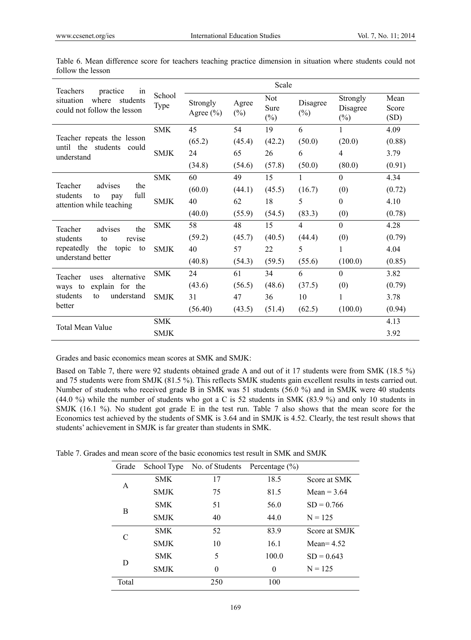| Teachers<br>practice<br>in                                                             |                |                           |                 | Scale                        |                    |                                |                       |
|----------------------------------------------------------------------------------------|----------------|---------------------------|-----------------|------------------------------|--------------------|--------------------------------|-----------------------|
| where<br>students<br>situation<br>could not follow the lesson                          | School<br>Type | Strongly<br>Agree $(\% )$ | Agree<br>$(\%)$ | <b>Not</b><br>Sure<br>$(\%)$ | Disagree<br>$(\%)$ | Strongly<br>Disagree<br>$(\%)$ | Mean<br>Score<br>(SD) |
|                                                                                        | <b>SMK</b>     | 45                        | 54              | 19                           | 6                  | 1                              | 4.09                  |
| Teacher repeats the lesson<br>until the students could<br>understand                   |                | (65.2)                    | (45.4)          | (42.2)                       | (50.0)             | (20.0)                         | (0.88)                |
|                                                                                        | <b>SMJK</b>    | 24                        | 65              | 26                           | 6                  | 4                              | 3.79                  |
|                                                                                        |                | (34.8)                    | (54.6)          | (57.8)                       | (50.0)             | (80.0)                         | (0.91)                |
|                                                                                        | <b>SMK</b>     | 60                        | 49              | 15                           | 1                  | $\theta$                       | 4.34                  |
| Teacher<br>advises<br>the<br>full<br>students<br>to<br>pay<br>attention while teaching |                | (60.0)                    | (44.1)          | (45.5)                       | (16.7)             | (0)                            | (0.72)                |
|                                                                                        | <b>SMJK</b>    | 40                        | 62              | 18                           | 5                  | $\theta$                       | 4.10                  |
|                                                                                        |                | (40.0)                    | (55.9)          | (54.5)                       | (83.3)             | (0)                            | (0.78)                |
| advises<br>the<br>Teacher                                                              | <b>SMK</b>     | 58                        | 48              | 15                           | $\overline{4}$     | $\theta$                       | 4.28                  |
| students<br>revise<br>to                                                               |                | (59.2)                    | (45.7)          | (40.5)                       | (44.4)             | (0)                            | (0.79)                |
| repeatedly<br>the<br>topic<br>to                                                       | <b>SMJK</b>    | 40                        | 57              | 22                           | 5                  | 1                              | 4.04                  |
| understand better                                                                      |                | (40.8)                    | (54.3)          | (59.5)                       | (55.6)             | (100.0)                        | (0.85)                |
| alternative<br>Teacher<br>uses                                                         | <b>SMK</b>     | 24                        | 61              | 34                           | 6                  | $\mathbf{0}$                   | 3.82                  |
| explain for the<br>ways to                                                             |                | (43.6)                    | (56.5)          | (48.6)                       | (37.5)             | (0)                            | (0.79)                |
| students<br>understand<br>to                                                           | <b>SMJK</b>    | 31                        | 47              | 36                           | 10                 | 1                              | 3.78                  |
| better                                                                                 |                | (56.40)                   | (43.5)          | (51.4)                       | (62.5)             | (100.0)                        | (0.94)                |
| Total Mean Value                                                                       | <b>SMK</b>     |                           |                 |                              |                    |                                | 4.13                  |
|                                                                                        | <b>SMJK</b>    |                           |                 |                              |                    |                                | 3.92                  |

| Table 6. Mean difference score for teachers teaching practice dimension in situation where students could not |  |  |  |  |  |  |
|---------------------------------------------------------------------------------------------------------------|--|--|--|--|--|--|
| follow the lesson                                                                                             |  |  |  |  |  |  |

Grades and basic economics mean scores at SMK and SMJK:

Based on Table 7, there were 92 students obtained grade A and out of it 17 students were from SMK (18.5 %) and 75 students were from SMJK (81.5 %). This reflects SMJK students gain excellent results in tests carried out. Number of students who received grade B in SMK was 51 students (56.0 %) and in SMJK were 40 students (44.0 %) while the number of students who got a C is 52 students in SMK (83.9 %) and only 10 students in SMJK (16.1 %). No student got grade E in the test run. Table 7 also shows that the mean score for the Economics test achieved by the students of SMK is 3.64 and in SMJK is 4.52. Clearly, the test result shows that students' achievement in SMJK is far greater than students in SMK.

Table 7. Grades and mean score of the basic economics test result in SMK and SMJK

| Grade | School Type | No. of Students | Percentage $(\% )$ |               |
|-------|-------------|-----------------|--------------------|---------------|
| A     | <b>SMK</b>  | 17              | 18.5               | Score at SMK  |
|       | <b>SMJK</b> | 75              | 81.5               | Mean = $3.64$ |
|       | <b>SMK</b>  | 51              | 56.0               | $SD = 0.766$  |
| B     | <b>SMJK</b> | 40              | 44.0               | $N = 125$     |
| C     | <b>SMK</b>  | 52              | 83.9               | Score at SMJK |
|       | <b>SMJK</b> | 10              | 16.1               | Mean $= 4.52$ |
| D     | <b>SMK</b>  | 5               | 100.0              | $SD = 0.643$  |
|       | <b>SMJK</b> | $\theta$        | $\theta$           | $N = 125$     |
| Total |             | 250             | 100                |               |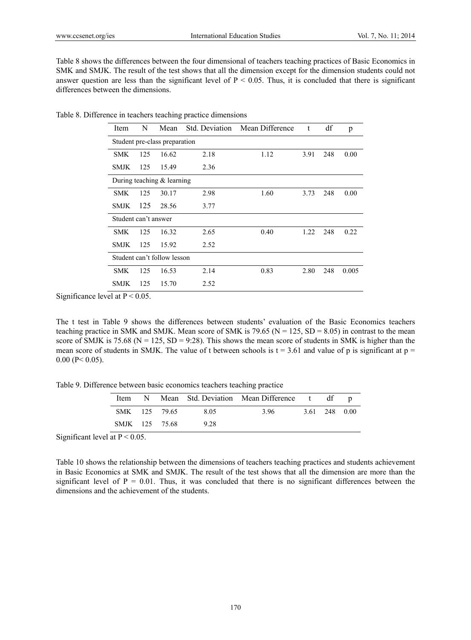Table 8 shows the differences between the four dimensional of teachers teaching practices of Basic Economics in SMK and SMJK. The result of the test shows that all the dimension except for the dimension students could not answer question are less than the significant level of  $P < 0.05$ . Thus, it is concluded that there is significant differences between the dimensions.

|  | Table 8. Difference in teachers teaching practice dimensions |  |  |  |
|--|--------------------------------------------------------------|--|--|--|
|  |                                                              |  |  |  |

| Item                         | N   | Mean                          | Std. Deviation | Mean Difference | t    | df  | p     |  |
|------------------------------|-----|-------------------------------|----------------|-----------------|------|-----|-------|--|
|                              |     | Student pre-class preparation |                |                 |      |     |       |  |
| <b>SMK</b>                   | 125 | 16.62                         | 2.18           | 1.12            | 3.91 | 248 | 0.00  |  |
| <b>SMJK</b>                  | 125 | 15.49                         | 2.36           |                 |      |     |       |  |
| During teaching $&$ learning |     |                               |                |                 |      |     |       |  |
| SMK.                         | 125 | 30.17                         | 2.98           | 1.60            | 3.73 | 248 | 0.00  |  |
| <b>SMJK</b>                  | 125 | 28.56                         | 3.77           |                 |      |     |       |  |
| Student can't answer         |     |                               |                |                 |      |     |       |  |
| <b>SMK</b>                   | 125 | 16.32                         | 2.65           | 0.40            | 1.22 | 248 | 0.22  |  |
| <b>SMJK</b>                  | 125 | 15.92                         | 2.52           |                 |      |     |       |  |
|                              |     | Student can't follow lesson   |                |                 |      |     |       |  |
| <b>SMK</b>                   | 125 | 16.53                         | 2.14           | 0.83            | 2.80 | 248 | 0.005 |  |
| <b>SMJK</b>                  | 125 | 15.70                         | 2.52           |                 |      |     |       |  |

Significance level at  $P < 0.05$ .

The t test in Table 9 shows the differences between students' evaluation of the Basic Economics teachers teaching practice in SMK and SMJK. Mean score of SMK is 79.65 ( $N = 125$ ,  $SD = 8.05$ ) in contrast to the mean score of SMJK is 75.68 ( $N = 125$ ,  $SD = 9:28$ ). This shows the mean score of students in SMK is higher than the mean score of students in SMJK. The value of t between schools is  $t = 3.61$  and value of p is significant at  $p =$  $0.00$  (P < 0.05).

Table 9. Difference between basic economics teachers teaching practice

|  |                |      | Item N Mean Std. Deviation Mean Difference t df p |                |  |
|--|----------------|------|---------------------------------------------------|----------------|--|
|  | SMK 125 79.65  | 8.05 | 396                                               | 3.61 2.48 0.00 |  |
|  | SMJK 125 75.68 | 928  |                                                   |                |  |

Significant level at  $P < 0.05$ .

Table 10 shows the relationship between the dimensions of teachers teaching practices and students achievement in Basic Economics at SMK and SMJK. The result of the test shows that all the dimension are more than the significant level of  $P = 0.01$ . Thus, it was concluded that there is no significant differences between the dimensions and the achievement of the students.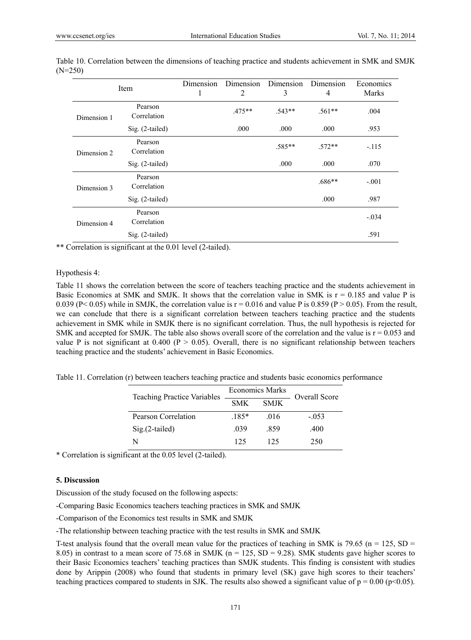| Item        |                        | Dimension<br>1 | Dimension<br>2 | Dimension<br>3 | Dimension<br>4 | Economics<br><b>Marks</b> |
|-------------|------------------------|----------------|----------------|----------------|----------------|---------------------------|
| Dimension 1 | Pearson<br>Correlation |                | $.475***$      | $.543**$       | $.561**$       | .004                      |
|             | Sig. (2-tailed)        |                | .000           | .000           | .000           | .953                      |
| Dimension 2 | Pearson<br>Correlation |                |                | .585**         | $.572**$       | $-.115$                   |
|             | $Sig. (2-tailed)$      |                |                | .000           | .000           | .070                      |
| Dimension 3 | Pearson<br>Correlation |                |                |                | $.686**$       | $-.001$                   |
|             | Sig. (2-tailed)        |                |                |                | .000           | .987                      |
| Dimension 4 | Pearson<br>Correlation |                |                |                |                | $-.034$                   |
|             | Sig. (2-tailed)        |                |                |                |                | .591                      |

Table 10. Correlation between the dimensions of teaching practice and students achievement in SMK and SMJK (N=250)

\*\* Correlation is significant at the 0.01 level (2-tailed).

#### Hypothesis 4:

Table 11 shows the correlation between the score of teachers teaching practice and the students achievement in Basic Economics at SMK and SMJK. It shows that the correlation value in SMK is  $r = 0.185$  and value P is 0.039 (P< 0.05) while in SMJK, the correlation value is  $r = 0.016$  and value P is 0.859 (P > 0.05). From the result, we can conclude that there is a significant correlation between teachers teaching practice and the students achievement in SMK while in SMJK there is no significant correlation. Thus, the null hypothesis is rejected for SMK and accepted for SMJK. The table also shows overall score of the correlation and the value is  $r = 0.053$  and value P is not significant at 0.400 ( $P > 0.05$ ). Overall, there is no significant relationship between teachers teaching practice and the students' achievement in Basic Economics.

Table 11. Correlation (r) between teachers teaching practice and students basic economics performance

| <b>Teaching Practice Variables</b> | <b>Economics Marks</b> |             | Overall Score |
|------------------------------------|------------------------|-------------|---------------|
|                                    | <b>SMK</b>             | <b>SMJK</b> |               |
| Pearson Correlation                | $185*$                 | -016        | $-0.53$       |
| $Sig.(2-tailed)$                   | 039                    | -859        | .400          |
| N                                  | 125                    | 125         | 250           |

\* Correlation is significant at the 0.05 level (2-tailed).

#### **5. Discussion**

Discussion of the study focused on the following aspects:

-Comparing Basic Economics teachers teaching practices in SMK and SMJK

-Comparison of the Economics test results in SMK and SMJK

-The relationship between teaching practice with the test results in SMK and SMJK

T-test analysis found that the overall mean value for the practices of teaching in SMK is 79.65 (n = 125, SD = 8.05) in contrast to a mean score of 75.68 in SMJK ( $n = 125$ , SD = 9.28). SMK students gave higher scores to their Basic Economics teachers' teaching practices than SMJK students. This finding is consistent with studies done by Arippin (2008) who found that students in primary level (SK) gave high scores to their teachers' teaching practices compared to students in SJK. The results also showed a significant value of  $p = 0.00$  (p<0.05).